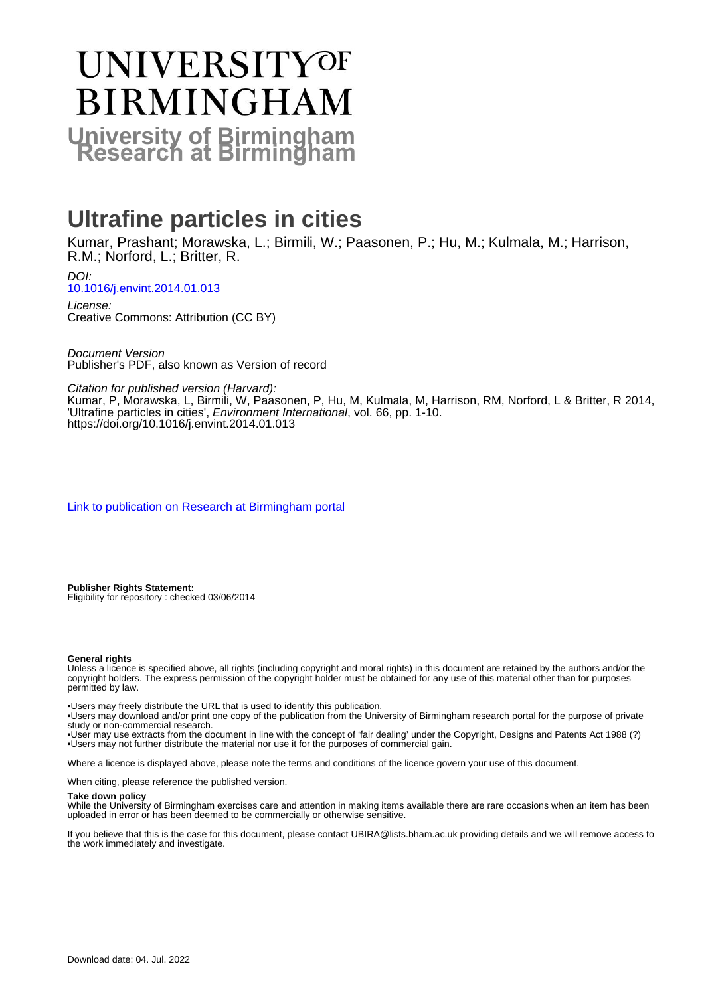# UNIVERSITYOF **BIRMINGHAM University of Birmingham**

## **Ultrafine particles in cities**

Kumar, Prashant; Morawska, L.; Birmili, W.; Paasonen, P.; Hu, M.; Kulmala, M.; Harrison, R.M.; Norford, L.; Britter, R.

DOI: [10.1016/j.envint.2014.01.013](https://doi.org/10.1016/j.envint.2014.01.013)

License: Creative Commons: Attribution (CC BY)

Document Version Publisher's PDF, also known as Version of record

Citation for published version (Harvard):

Kumar, P, Morawska, L, Birmili, W, Paasonen, P, Hu, M, Kulmala, M, Harrison, RM, Norford, L & Britter, R 2014, 'Ultrafine particles in cities', Environment International, vol. 66, pp. 1-10. <https://doi.org/10.1016/j.envint.2014.01.013>

[Link to publication on Research at Birmingham portal](https://birmingham.elsevierpure.com/en/publications/97033adf-8812-4542-ae39-a7c0f626d6f8)

**Publisher Rights Statement:** Eligibility for repository : checked 03/06/2014

#### **General rights**

Unless a licence is specified above, all rights (including copyright and moral rights) in this document are retained by the authors and/or the copyright holders. The express permission of the copyright holder must be obtained for any use of this material other than for purposes permitted by law.

• Users may freely distribute the URL that is used to identify this publication.

• Users may download and/or print one copy of the publication from the University of Birmingham research portal for the purpose of private study or non-commercial research.

• User may use extracts from the document in line with the concept of 'fair dealing' under the Copyright, Designs and Patents Act 1988 (?) • Users may not further distribute the material nor use it for the purposes of commercial gain.

Where a licence is displayed above, please note the terms and conditions of the licence govern your use of this document.

When citing, please reference the published version.

#### **Take down policy**

While the University of Birmingham exercises care and attention in making items available there are rare occasions when an item has been uploaded in error or has been deemed to be commercially or otherwise sensitive.

If you believe that this is the case for this document, please contact UBIRA@lists.bham.ac.uk providing details and we will remove access to the work immediately and investigate.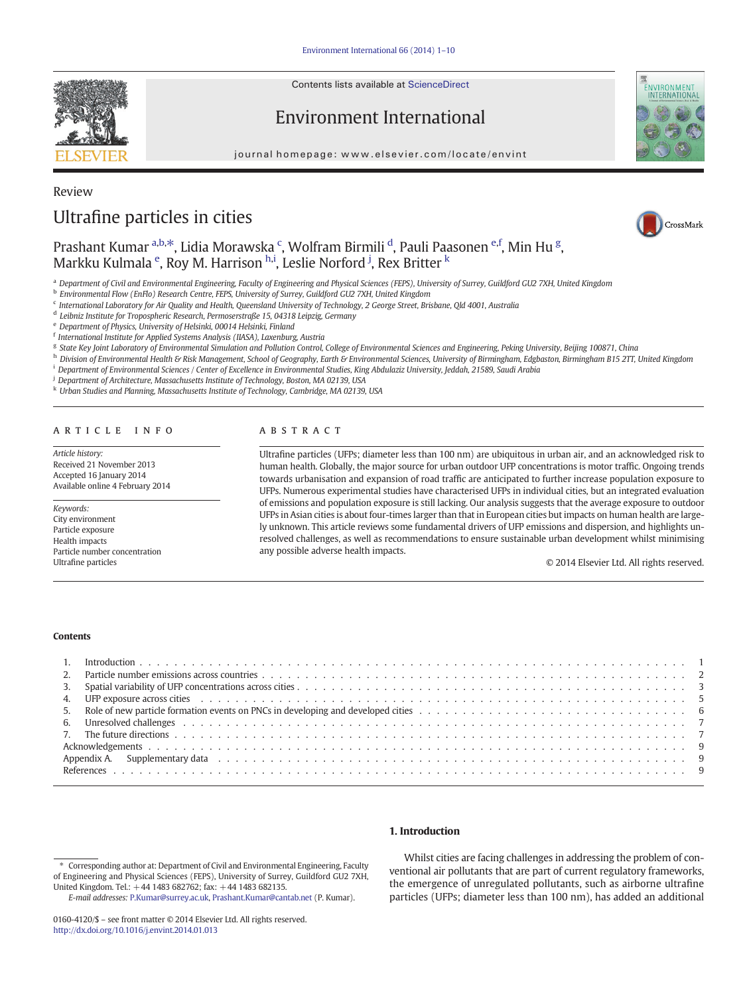Contents lists available at ScienceDirect

### Environment International

journal homepage: www.elsevier.com/locate/envint



### Review

### Ultrafine particles in cities



### Prashant Kumar <sup>a,b,\*</sup>, Lidia Morawska <sup>c</sup>, Wolfram Birmili <sup>d</sup>, Pauli Paasonen <sup>e,f</sup>, Min Hu <sup>g</sup>, Markku Kulmala <sup>e</sup>, Roy M. Harrison <sup>h,i</sup>, Leslie Norford <sup>j</sup>, Rex Britter <sup>k</sup>

a Department of Civil and Environmental Engineering, Faculty of Engineering and Physical Sciences (FEPS), University of Surrey, Guildford GU2 7XH, United Kingdom

<sup>b</sup> Environmental Flow (EnFlo) Research Centre, FEPS, University of Surrey, Guildford GU2 7XH, United Kingdom

<sup>c</sup> International Laboratory for Air Quality and Health, Queensland University of Technology, 2 George Street, Brisbane, Qld 4001, Australia

<sup>d</sup> Leibniz Institute for Tropospheric Research, Permoserstraße 15, 04318 Leipzig, Germany

<sup>e</sup> Department of Physics, University of Helsinki, 00014 Helsinki, Finland

<sup>f</sup> International Institute for Applied Systems Analysis (IIASA), Laxenburg, Austria

<sup>g</sup> State Key Joint Laboratory of Environmental Simulation and Pollution Control, College of Environmental Sciences and Engineering, Peking University, Beijing 100871, China

h Division of Environmental Health & Risk Management, School of Geography, Earth & Environmental Sciences, University of Birmingham, Edgbaston, Birmingham B15 2TT, United Kingdom

<sup>i</sup> Department of Environmental Sciences / Center of Excellence in Environmental Studies, King Abdulaziz University, Jeddah, 21589, Saudi Arabia

<sup>j</sup> Department of Architecture, Massachusetts Institute of Technology, Boston, MA 02139, USA

<sup>k</sup> Urban Studies and Planning, Massachusetts Institute of Technology, Cambridge, MA 02139, USA

#### article info abstract

Article history: Received 21 November 2013 Accepted 16 January 2014 Available online 4 February 2014

Keywords: City environment Particle exposure Health impacts Particle number concentration Ultrafine particles

Ultrafine particles (UFPs; diameter less than 100 nm) are ubiquitous in urban air, and an acknowledged risk to human health. Globally, the major source for urban outdoor UFP concentrations is motor traffic. Ongoing trends towards urbanisation and expansion of road traffic are anticipated to further increase population exposure to UFPs. Numerous experimental studies have characterised UFPs in individual cities, but an integrated evaluation of emissions and population exposure is still lacking. Our analysis suggests that the average exposure to outdoor UFPs in Asian cities is about four-times larger than that in European cities but impacts on human health are largely unknown. This article reviews some fundamental drivers of UFP emissions and dispersion, and highlights unresolved challenges, as well as recommendations to ensure sustainable urban development whilst minimising any possible adverse health impacts.

© 2014 Elsevier Ltd. All rights reserved.

#### **Contents**

#### 1. Introduction

Whilst cities are facing challenges in addressing the problem of conventional air pollutants that are part of current regulatory frameworks, the emergence of unregulated pollutants, such as airborne ultrafine particles (UFPs; diameter less than 100 nm), has added an additional



<sup>⁎</sup> Corresponding author at: Department of Civil and Environmental Engineering, Faculty of Engineering and Physical Sciences (FEPS), University of Surrey, Guildford GU2 7XH, United Kingdom. Tel.: +44 1483 682762; fax: +44 1483 682135.

E-mail addresses: [P.Kumar@surrey.ac.uk](mailto:P.Kumar@surrey.ac.uk), [Prashant.Kumar@cantab.net](mailto:Prashant.Kumar@cantab.net) (P. Kumar).

<sup>0160-4120/\$</sup> – see front matter © 2014 Elsevier Ltd. All rights reserved. <http://dx.doi.org/10.1016/j.envint.2014.01.013>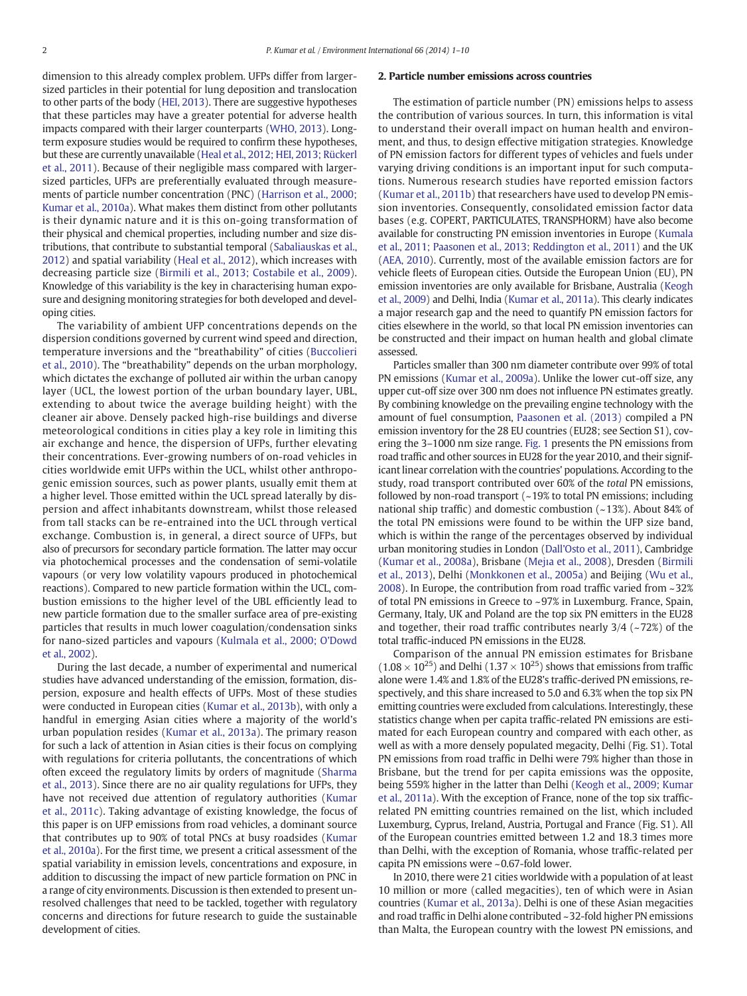<span id="page-2-0"></span>dimension to this already complex problem. UFPs differ from largersized particles in their potential for lung deposition and translocation to other parts of the body [\(HEI, 2013](#page-9-0)). There are suggestive hypotheses that these particles may have a greater potential for adverse health impacts compared with their larger counterparts [\(WHO, 2013\)](#page-10-0). Longterm exposure studies would be required to confirm these hypotheses, but these are currently unavailable [\(Heal et al., 2012; HEI, 2013; Rückerl](#page-9-0) [et al., 2011](#page-9-0)). Because of their negligible mass compared with largersized particles, UFPs are preferentially evaluated through measurements of particle number concentration (PNC) ([Harrison et al., 2000;](#page-9-0) [Kumar et al., 2010a](#page-9-0)). What makes them distinct from other pollutants is their dynamic nature and it is this on-going transformation of their physical and chemical properties, including number and size distributions, that contribute to substantial temporal [\(Sabaliauskas et al.,](#page-10-0) [2012\)](#page-10-0) and spatial variability ([Heal et al., 2012](#page-9-0)), which increases with decreasing particle size [\(Birmili et al., 2013; Costabile et al., 2009](#page-9-0)). Knowledge of this variability is the key in characterising human exposure and designing monitoring strategies for both developed and developing cities.

The variability of ambient UFP concentrations depends on the dispersion conditions governed by current wind speed and direction, temperature inversions and the "breathability" of cities ([Buccolieri](#page-9-0) [et al., 2010](#page-9-0)). The "breathability" depends on the urban morphology, which dictates the exchange of polluted air within the urban canopy layer (UCL, the lowest portion of the urban boundary layer, UBL, extending to about twice the average building height) with the cleaner air above. Densely packed high-rise buildings and diverse meteorological conditions in cities play a key role in limiting this air exchange and hence, the dispersion of UFPs, further elevating their concentrations. Ever-growing numbers of on-road vehicles in cities worldwide emit UFPs within the UCL, whilst other anthropogenic emission sources, such as power plants, usually emit them at a higher level. Those emitted within the UCL spread laterally by dispersion and affect inhabitants downstream, whilst those released from tall stacks can be re-entrained into the UCL through vertical exchange. Combustion is, in general, a direct source of UFPs, but also of precursors for secondary particle formation. The latter may occur via photochemical processes and the condensation of semi-volatile vapours (or very low volatility vapours produced in photochemical reactions). Compared to new particle formation within the UCL, combustion emissions to the higher level of the UBL efficiently lead to new particle formation due to the smaller surface area of pre-existing particles that results in much lower coagulation/condensation sinks for nano-sized particles and vapours ([Kulmala et al., 2000; O'Dowd](#page-9-0) [et al., 2002](#page-9-0)).

During the last decade, a number of experimental and numerical studies have advanced understanding of the emission, formation, dispersion, exposure and health effects of UFPs. Most of these studies were conducted in European cities [\(Kumar et al., 2013b](#page-10-0)), with only a handful in emerging Asian cities where a majority of the world's urban population resides [\(Kumar et al., 2013a](#page-10-0)). The primary reason for such a lack of attention in Asian cities is their focus on complying with regulations for criteria pollutants, the concentrations of which often exceed the regulatory limits by orders of magnitude ([Sharma](#page-10-0) [et al., 2013](#page-10-0)). Since there are no air quality regulations for UFPs, they have not received due attention of regulatory authorities [\(Kumar](#page-10-0) [et al., 2011c\)](#page-10-0). Taking advantage of existing knowledge, the focus of this paper is on UFP emissions from road vehicles, a dominant source that contributes up to 90% of total PNCs at busy roadsides [\(Kumar](#page-10-0) [et al., 2010a](#page-10-0)). For the first time, we present a critical assessment of the spatial variability in emission levels, concentrations and exposure, in addition to discussing the impact of new particle formation on PNC in a range of city environments. Discussion is then extended to present unresolved challenges that need to be tackled, together with regulatory concerns and directions for future research to guide the sustainable development of cities.

#### 2. Particle number emissions across countries

The estimation of particle number (PN) emissions helps to assess the contribution of various sources. In turn, this information is vital to understand their overall impact on human health and environment, and thus, to design effective mitigation strategies. Knowledge of PN emission factors for different types of vehicles and fuels under varying driving conditions is an important input for such computations. Numerous research studies have reported emission factors [\(Kumar et al., 2011b\)](#page-10-0) that researchers have used to develop PN emission inventories. Consequently, consolidated emission factor data bases (e.g. COPERT, PARTICULATES, TRANSPHORM) have also become available for constructing PN emission inventories in Europe [\(Kumala](#page-9-0) [et al., 2011; Paasonen et al., 2013; Reddington et al., 2011](#page-9-0)) and the UK [\(AEA, 2010](#page-9-0)). Currently, most of the available emission factors are for vehicle fleets of European cities. Outside the European Union (EU), PN emission inventories are only available for Brisbane, Australia [\(Keogh](#page-9-0) [et al., 2009\)](#page-9-0) and Delhi, India [\(Kumar et al., 2011a\)](#page-10-0). This clearly indicates a major research gap and the need to quantify PN emission factors for cities elsewhere in the world, so that local PN emission inventories can be constructed and their impact on human health and global climate assessed.

Particles smaller than 300 nm diameter contribute over 99% of total PN emissions [\(Kumar et al., 2009a](#page-9-0)). Unlike the lower cut-off size, any upper cut-off size over 300 nm does not influence PN estimates greatly. By combining knowledge on the prevailing engine technology with the amount of fuel consumption, [Paasonen et al. \(2013\)](#page-10-0) compiled a PN emission inventory for the 28 EU countries (EU28; see Section S1), covering the 3–1000 nm size range. [Fig. 1](#page-3-0) presents the PN emissions from road traffic and other sources in EU28 for the year 2010, and their significant linear correlation with the countries' populations. According to the study, road transport contributed over 60% of the total PN emissions, followed by non-road transport  $\left(\sim 19\%$  to total PN emissions; including national ship traffic) and domestic combustion  $(-13%)$ . About 84% of the total PN emissions were found to be within the UFP size band, which is within the range of the percentages observed by individual urban monitoring studies in London ([Dall'Osto et al., 2011](#page-9-0)), Cambridge [\(Kumar et al., 2008a](#page-9-0)), Brisbane (Mejı[a et al., 2008](#page-10-0)), Dresden [\(Birmili](#page-9-0) [et al., 2013\)](#page-9-0), Delhi ([Monkkonen et al., 2005a](#page-10-0)) and Beijing ([Wu et al.,](#page-10-0) [2008\)](#page-10-0). In Europe, the contribution from road traffic varied from ~32% of total PN emissions in Greece to ~97% in Luxemburg. France, Spain, Germany, Italy, UK and Poland are the top six PN emitters in the EU28 and together, their road traffic contributes nearly  $3/4$  ( $\sim$ 72%) of the total traffic-induced PN emissions in the EU28.

Comparison of the annual PN emission estimates for Brisbane  $(1.08 \times 10^{25})$  and Delhi  $(1.37 \times 10^{25})$  shows that emissions from traffic alone were 1.4% and 1.8% of the EU28's traffic-derived PN emissions, respectively, and this share increased to 5.0 and 6.3% when the top six PN emitting countries were excluded from calculations. Interestingly, these statistics change when per capita traffic-related PN emissions are estimated for each European country and compared with each other, as well as with a more densely populated megacity, Delhi (Fig. S1). Total PN emissions from road traffic in Delhi were 79% higher than those in Brisbane, but the trend for per capita emissions was the opposite, being 559% higher in the latter than Delhi ([Keogh et al., 2009; Kumar](#page-9-0) [et al., 2011a\)](#page-9-0). With the exception of France, none of the top six trafficrelated PN emitting countries remained on the list, which included Luxemburg, Cyprus, Ireland, Austria, Portugal and France (Fig. S1). All of the European countries emitted between 1.2 and 18.3 times more than Delhi, with the exception of Romania, whose traffic-related per capita PN emissions were ~0.67-fold lower.

In 2010, there were 21 cities worldwide with a population of at least 10 million or more (called megacities), ten of which were in Asian countries ([Kumar et al., 2013a](#page-10-0)). Delhi is one of these Asian megacities and road traffic in Delhi alone contributed ~32-fold higher PN emissions than Malta, the European country with the lowest PN emissions, and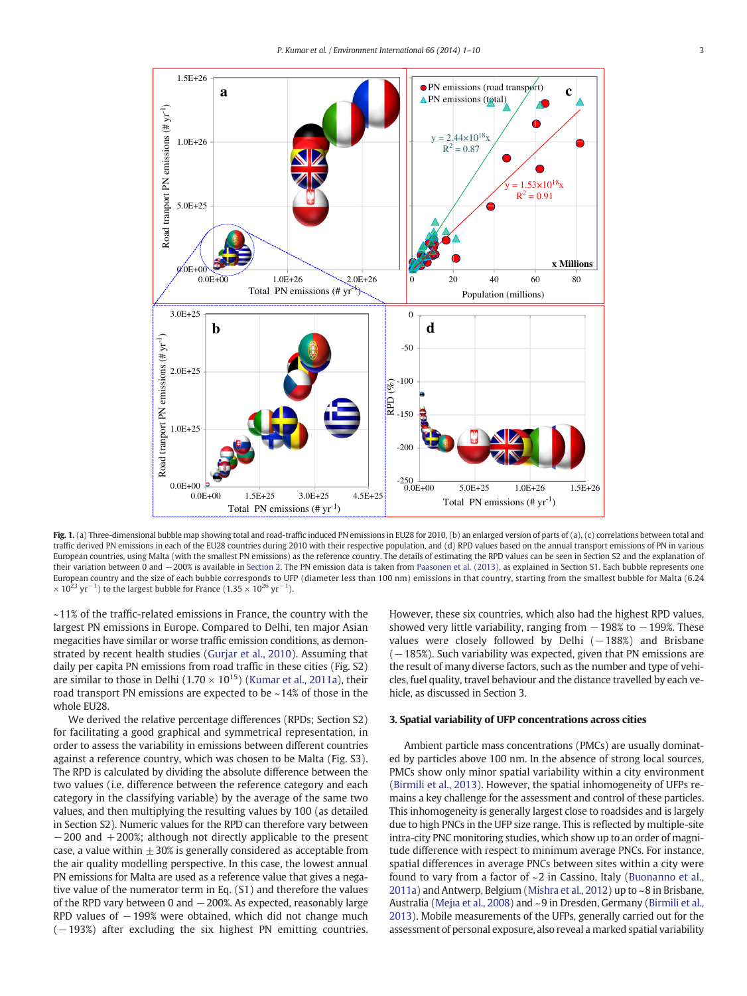<span id="page-3-0"></span>

Fig. 1. (a) Three-dimensional bubble map showing total and road-traffic induced PN emissions in EU28 for 2010, (b) an enlarged version of parts of (a), (c) correlations between total and traffic derived PN emissions in each of the EU28 countries during 2010 with their respective population, and (d) RPD values based on the annual transport emissions of PN in various European countries, using Malta (with the smallest PN emissions) as the reference country. The details of estimating the RPD values can be seen in Section S2 and the explanation of their variation between 0 and −200% is available in [Section 2.](#page-2-0) The PN emission data is taken from [Paasonen et al. \(2013\)](#page-10-0), as explained in Section S1. Each bubble represents one European country and the size of each bubble corresponds to UFP (diameter less than 100 nm) emissions in that country, starting from the smallest bubble for Malta (6.24  $\times$  10<sup>23</sup> yr<sup>-1</sup>) to the largest bubble for France (1.35  $\times$  10<sup>26</sup> yr<sup>-1</sup>).

 $\sim$ 11% of the traffic-related emissions in France, the country with the largest PN emissions in Europe. Compared to Delhi, ten major Asian megacities have similar or worse traffic emission conditions, as demonstrated by recent health studies ([Gurjar et al., 2010](#page-9-0)). Assuming that daily per capita PN emissions from road traffic in these cities (Fig. S2) are similar to those in Delhi ( $1.70 \times 10^{15}$ ) ([Kumar et al., 2011a\)](#page-10-0), their road transport PN emissions are expected to be ~14% of those in the whole EU28.

We derived the relative percentage differences (RPDs; Section S2) for facilitating a good graphical and symmetrical representation, in order to assess the variability in emissions between different countries against a reference country, which was chosen to be Malta (Fig. S3). The RPD is calculated by dividing the absolute difference between the two values (i.e. difference between the reference category and each category in the classifying variable) by the average of the same two values, and then multiplying the resulting values by 100 (as detailed in Section S2). Numeric values for the RPD can therefore vary between −200 and +200%; although not directly applicable to the present case, a value within  $\pm$  30% is generally considered as acceptable from the air quality modelling perspective. In this case, the lowest annual PN emissions for Malta are used as a reference value that gives a negative value of the numerator term in Eq. (S1) and therefore the values of the RPD vary between 0 and −200%. As expected, reasonably large RPD values of  $-199%$  were obtained, which did not change much (-193%) after excluding the six highest PN emitting countries.

However, these six countries, which also had the highest RPD values, showed very little variability, ranging from  $-198\%$  to  $-199\%$ . These values were closely followed by Delhi (−188%) and Brisbane  $(-185%)$ . Such variability was expected, given that PN emissions are the result of many diverse factors, such as the number and type of vehicles, fuel quality, travel behaviour and the distance travelled by each vehicle, as discussed in Section 3.

#### 3. Spatial variability of UFP concentrations across cities

Ambient particle mass concentrations (PMCs) are usually dominated by particles above 100 nm. In the absence of strong local sources, PMCs show only minor spatial variability within a city environment [\(Birmili et al., 2013](#page-9-0)). However, the spatial inhomogeneity of UFPs remains a key challenge for the assessment and control of these particles. This inhomogeneity is generally largest close to roadsides and is largely due to high PNCs in the UFP size range. This is reflected by multiple-site intra-city PNC monitoring studies, which show up to an order of magnitude difference with respect to minimum average PNCs. For instance, spatial differences in average PNCs between sites within a city were found to vary from a factor of ~ 2 in Cassino, Italy ([Buonanno et al.,](#page-9-0) [2011a](#page-9-0)) and Antwerp, Belgium [\(Mishra et al., 2012\)](#page-10-0) up to ~8 in Brisbane, Australia (Mejı[a et al., 2008\)](#page-10-0) and ~9 in Dresden, Germany ([Birmili et al.,](#page-9-0) [2013](#page-9-0)). Mobile measurements of the UFPs, generally carried out for the assessment of personal exposure, also reveal a marked spatial variability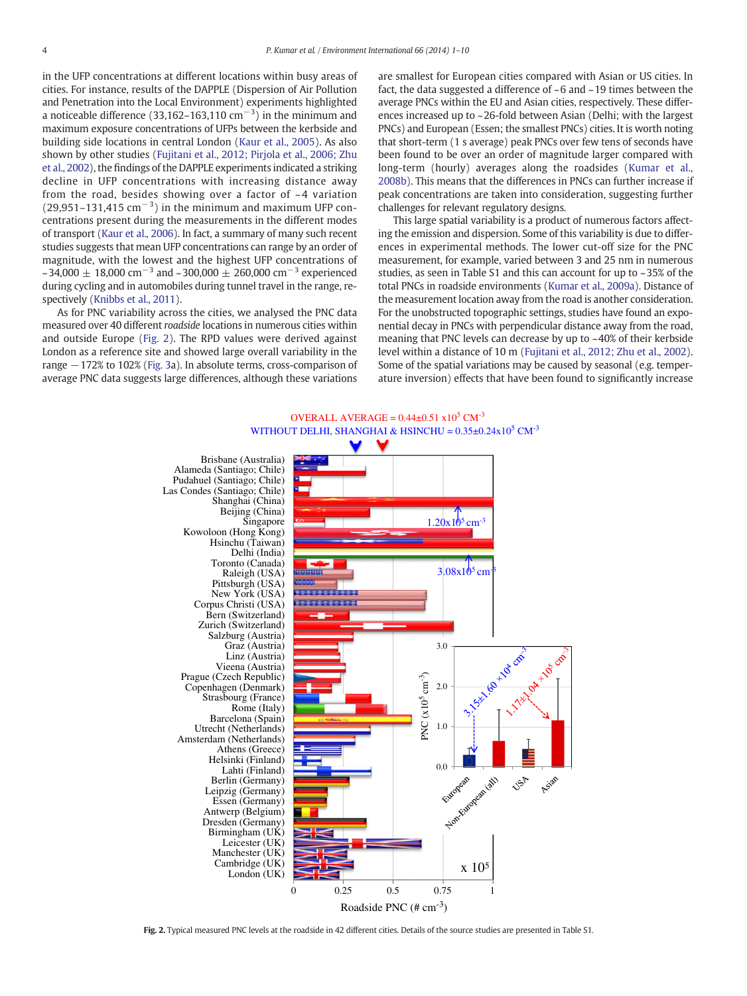<span id="page-4-0"></span>in the UFP concentrations at different locations within busy areas of cities. For instance, results of the DAPPLE (Dispersion of Air Pollution and Penetration into the Local Environment) experiments highlighted a noticeable difference (33,162–163,110 cm<sup>-3</sup>) in the minimum and maximum exposure concentrations of UFPs between the kerbside and building side locations in central London ([Kaur et al., 2005](#page-9-0)). As also shown by other studies [\(Fujitani et al., 2012; Pirjola et al., 2006; Zhu](#page-9-0) [et al., 2002](#page-9-0)), the findings of the DAPPLE experiments indicated a striking decline in UFP concentrations with increasing distance away from the road, besides showing over a factor of  $\sim$  4 variation  $(29,951-131,415 \text{ cm}^{-3})$  in the minimum and maximum UFP concentrations present during the measurements in the different modes of transport [\(Kaur et al., 2006](#page-9-0)). In fact, a summary of many such recent studies suggests that mean UFP concentrations can range by an order of magnitude, with the lowest and the highest UFP concentrations of ~34,000  $\pm$  18,000 cm<sup>-3</sup> and ~300,000  $\pm$  260,000 cm<sup>-3</sup> experienced during cycling and in automobiles during tunnel travel in the range, respectively ([Knibbs et al., 2011\)](#page-9-0).

As for PNC variability across the cities, we analysed the PNC data measured over 40 different roadside locations in numerous cities within and outside Europe (Fig. 2). The RPD values were derived against London as a reference site and showed large overall variability in the range −172% to 102% ([Fig. 3](#page-5-0)a). In absolute terms, cross-comparison of average PNC data suggests large differences, although these variations are smallest for European cities compared with Asian or US cities. In fact, the data suggested a difference of ~6 and ~19 times between the average PNCs within the EU and Asian cities, respectively. These differences increased up to ~26-fold between Asian (Delhi; with the largest PNCs) and European (Essen; the smallest PNCs) cities. It is worth noting that short-term (1 s average) peak PNCs over few tens of seconds have been found to be over an order of magnitude larger compared with long-term (hourly) averages along the roadsides [\(Kumar et al.,](#page-9-0) [2008b](#page-9-0)). This means that the differences in PNCs can further increase if peak concentrations are taken into consideration, suggesting further challenges for relevant regulatory designs.

This large spatial variability is a product of numerous factors affecting the emission and dispersion. Some of this variability is due to differences in experimental methods. The lower cut-off size for the PNC measurement, for example, varied between 3 and 25 nm in numerous studies, as seen in Table S1 and this can account for up to ~35% of the total PNCs in roadside environments [\(Kumar et al., 2009a](#page-9-0)). Distance of the measurement location away from the road is another consideration. For the unobstructed topographic settings, studies have found an exponential decay in PNCs with perpendicular distance away from the road, meaning that PNC levels can decrease by up to ~40% of their kerbside level within a distance of 10 m ([Fujitani et al., 2012; Zhu et al., 2002](#page-9-0)). Some of the spatial variations may be caused by seasonal (e.g. temperature inversion) effects that have been found to significantly increase



Fig. 2. Typical measured PNC levels at the roadside in 42 different cities. Details of the source studies are presented in Table S1.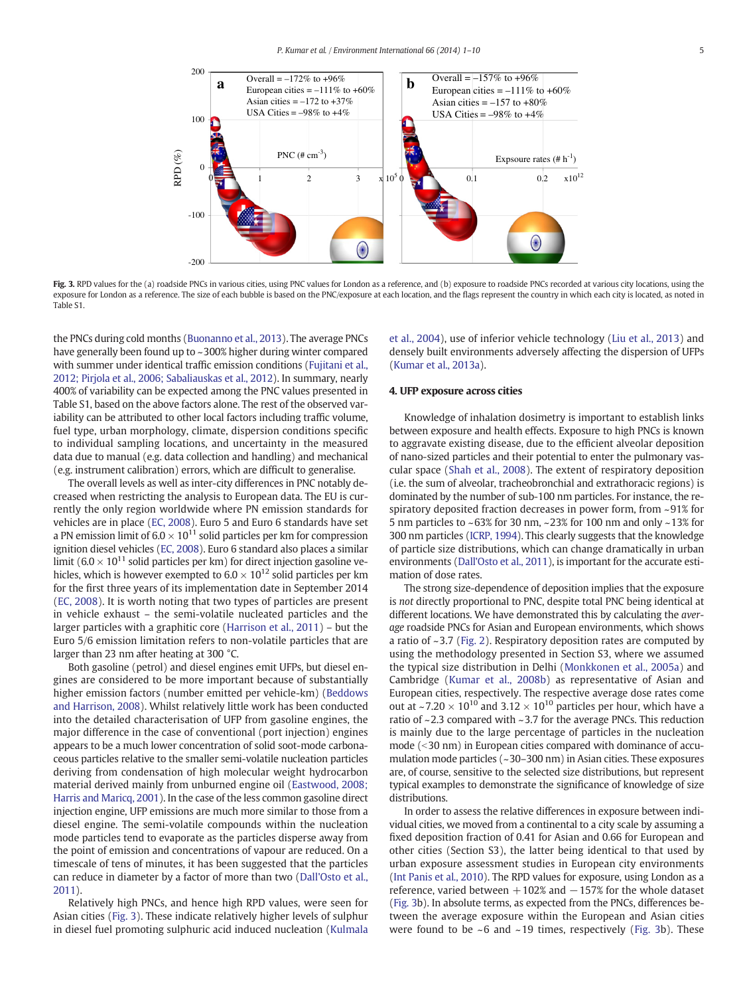<span id="page-5-0"></span>

Fig. 3. RPD values for the (a) roadside PNCs in various cities, using PNC values for London as a reference, and (b) exposure to roadside PNCs recorded at various city locations, using the exposure for London as a reference. The size of each bubble is based on the PNC/exposure at each location, and the flags represent the country in which each city is located, as noted in Table S1.

the PNCs during cold months [\(Buonanno et al., 2013\)](#page-9-0). The average PNCs have generally been found up to ~300% higher during winter compared with summer under identical traffic emission conditions [\(Fujitani et al.,](#page-9-0) [2012; Pirjola et al., 2006; Sabaliauskas et al., 2012\)](#page-9-0). In summary, nearly 400% of variability can be expected among the PNC values presented in Table S1, based on the above factors alone. The rest of the observed variability can be attributed to other local factors including traffic volume, fuel type, urban morphology, climate, dispersion conditions specific to individual sampling locations, and uncertainty in the measured data due to manual (e.g. data collection and handling) and mechanical (e.g. instrument calibration) errors, which are difficult to generalise.

The overall levels as well as inter-city differences in PNC notably decreased when restricting the analysis to European data. The EU is currently the only region worldwide where PN emission standards for vehicles are in place ([EC, 2008](#page-9-0)). Euro 5 and Euro 6 standards have set a PN emission limit of  $6.0 \times 10^{11}$  solid particles per km for compression ignition diesel vehicles [\(EC, 2008\)](#page-9-0). Euro 6 standard also places a similar limit (6.0  $\times$  10<sup>11</sup> solid particles per km) for direct injection gasoline vehicles, which is however exempted to  $6.0 \times 10^{12}$  solid particles per km for the first three years of its implementation date in September 2014 [\(EC, 2008](#page-9-0)). It is worth noting that two types of particles are present in vehicle exhaust – the semi-volatile nucleated particles and the larger particles with a graphitic core ([Harrison et al., 2011\)](#page-9-0) – but the Euro 5/6 emission limitation refers to non-volatile particles that are larger than 23 nm after heating at 300 °C.

Both gasoline (petrol) and diesel engines emit UFPs, but diesel engines are considered to be more important because of substantially higher emission factors (number emitted per vehicle-km) [\(Beddows](#page-9-0) [and Harrison, 2008\)](#page-9-0). Whilst relatively little work has been conducted into the detailed characterisation of UFP from gasoline engines, the major difference in the case of conventional (port injection) engines appears to be a much lower concentration of solid soot-mode carbonaceous particles relative to the smaller semi-volatile nucleation particles deriving from condensation of high molecular weight hydrocarbon material derived mainly from unburned engine oil ([Eastwood, 2008;](#page-9-0) [Harris and Maricq, 2001\)](#page-9-0). In the case of the less common gasoline direct injection engine, UFP emissions are much more similar to those from a diesel engine. The semi-volatile compounds within the nucleation mode particles tend to evaporate as the particles disperse away from the point of emission and concentrations of vapour are reduced. On a timescale of tens of minutes, it has been suggested that the particles can reduce in diameter by a factor of more than two [\(Dall'Osto et al.,](#page-9-0) [2011](#page-9-0)).

Relatively high PNCs, and hence high RPD values, were seen for Asian cities (Fig. 3). These indicate relatively higher levels of sulphur in diesel fuel promoting sulphuric acid induced nucleation [\(Kulmala](#page-9-0) [et al., 2004\)](#page-9-0), use of inferior vehicle technology [\(Liu et al., 2013\)](#page-10-0) and densely built environments adversely affecting the dispersion of UFPs [\(Kumar et al., 2013a\)](#page-10-0).

#### 4. UFP exposure across cities

Knowledge of inhalation dosimetry is important to establish links between exposure and health effects. Exposure to high PNCs is known to aggravate existing disease, due to the efficient alveolar deposition of nano-sized particles and their potential to enter the pulmonary vascular space ([Shah et al., 2008\)](#page-10-0). The extent of respiratory deposition (i.e. the sum of alveolar, tracheobronchial and extrathoracic regions) is dominated by the number of sub-100 nm particles. For instance, the respiratory deposited fraction decreases in power form, from ~91% for 5 nm particles to ~63% for 30 nm, ~23% for 100 nm and only ~13% for 300 nm particles ([ICRP, 1994](#page-9-0)). This clearly suggests that the knowledge of particle size distributions, which can change dramatically in urban environments [\(Dall'Osto et al., 2011\)](#page-9-0), is important for the accurate estimation of dose rates.

The strong size-dependence of deposition implies that the exposure is not directly proportional to PNC, despite total PNC being identical at different locations. We have demonstrated this by calculating the average roadside PNCs for Asian and European environments, which shows a ratio of ~3.7 [\(Fig. 2\)](#page-4-0). Respiratory deposition rates are computed by using the methodology presented in Section S3, where we assumed the typical size distribution in Delhi [\(Monkkonen et al., 2005a\)](#page-10-0) and Cambridge [\(Kumar et al., 2008b\)](#page-9-0) as representative of Asian and European cities, respectively. The respective average dose rates come out at ~7.20  $\times$  10<sup>10</sup> and 3.12  $\times$  10<sup>10</sup> particles per hour, which have a ratio of ~2.3 compared with ~3.7 for the average PNCs. This reduction is mainly due to the large percentage of particles in the nucleation mode  $(<$ 30 nm) in European cities compared with dominance of accumulation mode particles (~30–300 nm) in Asian cities. These exposures are, of course, sensitive to the selected size distributions, but represent typical examples to demonstrate the significance of knowledge of size distributions.

In order to assess the relative differences in exposure between individual cities, we moved from a continental to a city scale by assuming a fixed deposition fraction of 0.41 for Asian and 0.66 for European and other cities (Section S3), the latter being identical to that used by urban exposure assessment studies in European city environments [\(Int Panis et al., 2010](#page-9-0)). The RPD values for exposure, using London as a reference, varied between +102% and −157% for the whole dataset (Fig. 3b). In absolute terms, as expected from the PNCs, differences between the average exposure within the European and Asian cities were found to be  $\sim$  6 and  $\sim$  19 times, respectively (Fig. 3b). These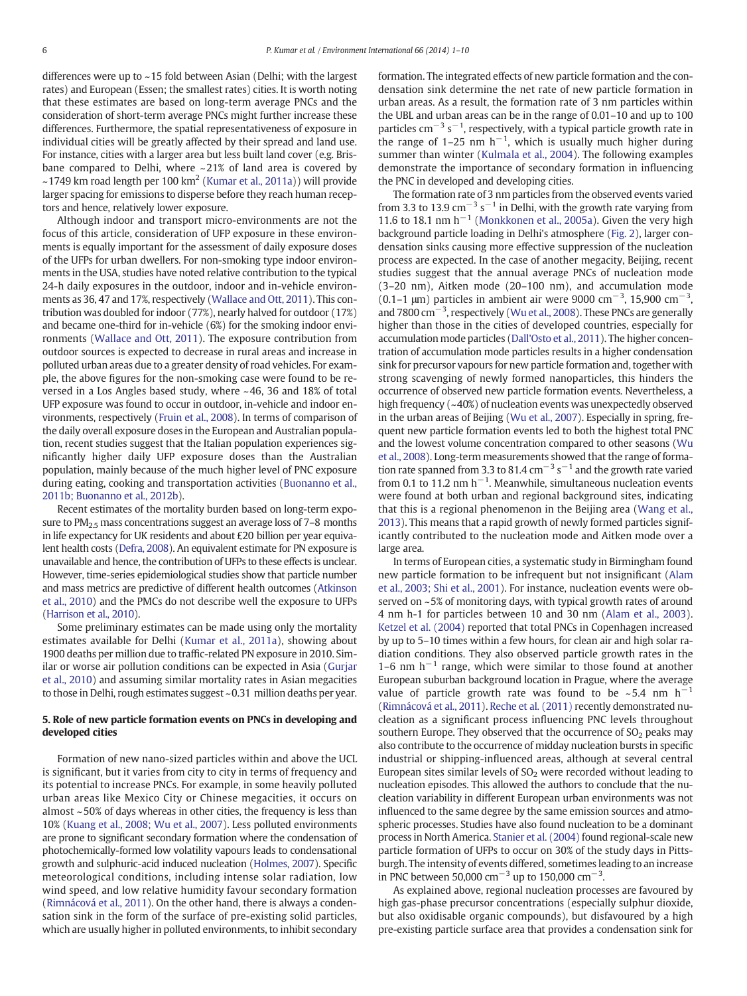differences were up to ~15 fold between Asian (Delhi; with the largest rates) and European (Essen; the smallest rates) cities. It is worth noting that these estimates are based on long-term average PNCs and the consideration of short-term average PNCs might further increase these differences. Furthermore, the spatial representativeness of exposure in individual cities will be greatly affected by their spread and land use. For instance, cities with a larger area but less built land cover (e.g. Brisbane compared to Delhi, where ~21% of land area is covered by  $\sim$ 1749 km road length per 100 km<sup>2</sup> ([Kumar et al., 2011a](#page-10-0))) will provide larger spacing for emissions to disperse before they reach human receptors and hence, relatively lower exposure.

Although indoor and transport micro-environments are not the focus of this article, consideration of UFP exposure in these environments is equally important for the assessment of daily exposure doses of the UFPs for urban dwellers. For non-smoking type indoor environments in the USA, studies have noted relative contribution to the typical 24-h daily exposures in the outdoor, indoor and in-vehicle environments as 36, 47 and 17%, respectively ([Wallace and Ott, 2011\)](#page-10-0). This contribution was doubled for indoor (77%), nearly halved for outdoor (17%) and became one-third for in-vehicle (6%) for the smoking indoor environments ([Wallace and Ott, 2011](#page-10-0)). The exposure contribution from outdoor sources is expected to decrease in rural areas and increase in polluted urban areas due to a greater density of road vehicles. For example, the above figures for the non-smoking case were found to be reversed in a Los Angles based study, where ~46, 36 and 18% of total UFP exposure was found to occur in outdoor, in-vehicle and indoor environments, respectively ([Fruin et al., 2008\)](#page-9-0). In terms of comparison of the daily overall exposure doses in the European and Australian population, recent studies suggest that the Italian population experiences significantly higher daily UFP exposure doses than the Australian population, mainly because of the much higher level of PNC exposure during eating, cooking and transportation activities [\(Buonanno et al.,](#page-9-0) [2011b; Buonanno et al., 2012b](#page-9-0)).

Recent estimates of the mortality burden based on long-term exposure to PM<sub>2.5</sub> mass concentrations suggest an average loss of 7-8 months in life expectancy for UK residents and about £20 billion per year equivalent health costs [\(Defra, 2008](#page-9-0)). An equivalent estimate for PN exposure is unavailable and hence, the contribution of UFPs to these effects is unclear. However, time-series epidemiological studies show that particle number and mass metrics are predictive of different health outcomes [\(Atkinson](#page-9-0) [et al., 2010](#page-9-0)) and the PMCs do not describe well the exposure to UFPs [\(Harrison et al., 2010\)](#page-9-0).

Some preliminary estimates can be made using only the mortality estimates available for Delhi [\(Kumar et al., 2011a](#page-10-0)), showing about 1900 deaths per million due to traffic-related PN exposure in 2010. Similar or worse air pollution conditions can be expected in Asia ([Gurjar](#page-9-0) [et al., 2010](#page-9-0)) and assuming similar mortality rates in Asian megacities to those in Delhi, rough estimates suggest ~0.31 million deaths per year.

#### 5. Role of new particle formation events on PNCs in developing and developed cities

Formation of new nano-sized particles within and above the UCL is significant, but it varies from city to city in terms of frequency and its potential to increase PNCs. For example, in some heavily polluted urban areas like Mexico City or Chinese megacities, it occurs on almost ~ 50% of days whereas in other cities, the frequency is less than 10% [\(Kuang et al., 2008; Wu et al., 2007\)](#page-9-0). Less polluted environments are prone to significant secondary formation where the condensation of photochemically-formed low volatility vapours leads to condensational growth and sulphuric-acid induced nucleation [\(Holmes, 2007\)](#page-9-0). Specific meteorological conditions, including intense solar radiation, low wind speed, and low relative humidity favour secondary formation [\(Rimnácová et al., 2011](#page-10-0)). On the other hand, there is always a condensation sink in the form of the surface of pre-existing solid particles, which are usually higher in polluted environments, to inhibit secondary formation. The integrated effects of new particle formation and the condensation sink determine the net rate of new particle formation in urban areas. As a result, the formation rate of 3 nm particles within the UBL and urban areas can be in the range of 0.01–10 and up to 100 particles  $\text{cm}^{-3}$  s<sup>-1</sup>, respectively, with a typical particle growth rate in the range of 1–25 nm  $h^{-1}$ , which is usually much higher during summer than winter ([Kulmala et al., 2004](#page-9-0)). The following examples demonstrate the importance of secondary formation in influencing the PNC in developed and developing cities.

The formation rate of 3 nm particles from the observed events varied from 3.3 to 13.9  $\text{cm}^{-3}$  s<sup>-1</sup> in Delhi, with the growth rate varying from 11.6 to 18.1 nm h<sup>-1</sup> [\(Monkkonen et al., 2005a\)](#page-10-0). Given the very high background particle loading in Delhi's atmosphere ([Fig. 2](#page-4-0)), larger condensation sinks causing more effective suppression of the nucleation process are expected. In the case of another megacity, Beijing, recent studies suggest that the annual average PNCs of nucleation mode (3–20 nm), Aitken mode (20–100 nm), and accumulation mode (0.1–1  $\mu$ m) particles in ambient air were 9000 cm<sup>−3</sup>, 15,900 cm<sup>−3</sup>, and 7800 cm−<sup>3</sup> , respectively [\(Wu et al., 2008\)](#page-10-0). These PNCs are generally higher than those in the cities of developed countries, especially for accumulation mode particles [\(Dall'Osto et al., 2011\)](#page-9-0). The higher concentration of accumulation mode particles results in a higher condensation sink for precursor vapours for new particle formation and, together with strong scavenging of newly formed nanoparticles, this hinders the occurrence of observed new particle formation events. Nevertheless, a high frequency (~40%) of nucleation events was unexpectedly observed in the urban areas of Beijing [\(Wu et al., 2007](#page-10-0)). Especially in spring, frequent new particle formation events led to both the highest total PNC and the lowest volume concentration compared to other seasons ([Wu](#page-10-0) [et al., 2008](#page-10-0)). Long-term measurements showed that the range of formation rate spanned from 3.3 to 81.4  $cm^{-3}$  s<sup>-1</sup> and the growth rate varied from 0.1 to 11.2 nm  $h^{-1}$ . Meanwhile, simultaneous nucleation events were found at both urban and regional background sites, indicating that this is a regional phenomenon in the Beijing area ([Wang et al.,](#page-10-0) [2013\)](#page-10-0). This means that a rapid growth of newly formed particles significantly contributed to the nucleation mode and Aitken mode over a large area.

In terms of European cities, a systematic study in Birmingham found new particle formation to be infrequent but not insignificant ([Alam](#page-9-0) [et al., 2003; Shi et al., 2001\)](#page-9-0). For instance, nucleation events were observed on ~5% of monitoring days, with typical growth rates of around 4 nm h-1 for particles between 10 and 30 nm [\(Alam et al., 2003](#page-9-0)). [Ketzel et al. \(2004\)](#page-9-0) reported that total PNCs in Copenhagen increased by up to 5–10 times within a few hours, for clean air and high solar radiation conditions. They also observed particle growth rates in the 1–6 nm  $h^{-1}$  range, which were similar to those found at another European suburban background location in Prague, where the average value of particle growth rate was found to be ~5.4 nm  $h^{-1}$ [\(Rimnácová et al., 2011\)](#page-10-0). [Reche et al. \(2011\)](#page-10-0) recently demonstrated nucleation as a significant process influencing PNC levels throughout southern Europe. They observed that the occurrence of  $SO<sub>2</sub>$  peaks may also contribute to the occurrence of midday nucleation bursts in specific industrial or shipping-influenced areas, although at several central European sites similar levels of  $SO<sub>2</sub>$  were recorded without leading to nucleation episodes. This allowed the authors to conclude that the nucleation variability in different European urban environments was not influenced to the same degree by the same emission sources and atmospheric processes. Studies have also found nucleation to be a dominant process in North America. [Stanier et al. \(2004\)](#page-10-0) found regional-scale new particle formation of UFPs to occur on 30% of the study days in Pittsburgh. The intensity of events differed, sometimes leading to an increase in PNC between 50,000 cm<sup>-3</sup> up to 150,000 cm<sup>-3</sup>.

As explained above, regional nucleation processes are favoured by high gas-phase precursor concentrations (especially sulphur dioxide, but also oxidisable organic compounds), but disfavoured by a high pre-existing particle surface area that provides a condensation sink for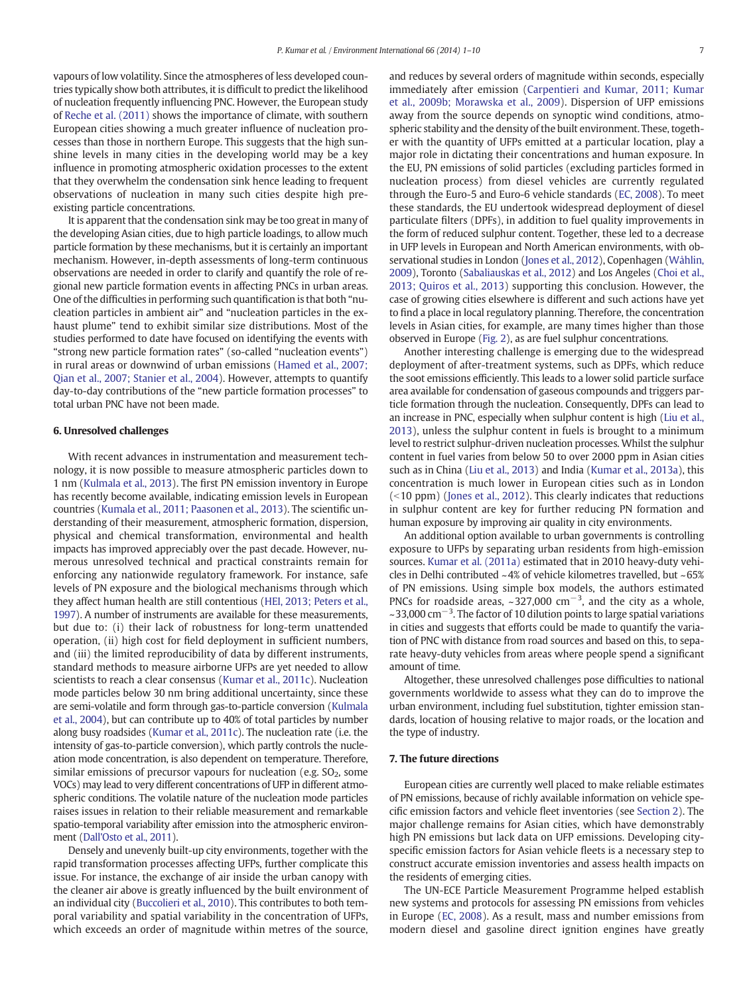vapours of low volatility. Since the atmospheres of less developed countries typically show both attributes, it is difficult to predict the likelihood of nucleation frequently influencing PNC. However, the European study of [Reche et al. \(2011\)](#page-10-0) shows the importance of climate, with southern European cities showing a much greater influence of nucleation processes than those in northern Europe. This suggests that the high sunshine levels in many cities in the developing world may be a key influence in promoting atmospheric oxidation processes to the extent that they overwhelm the condensation sink hence leading to frequent observations of nucleation in many such cities despite high preexisting particle concentrations.

It is apparent that the condensation sink may be too great in many of the developing Asian cities, due to high particle loadings, to allow much particle formation by these mechanisms, but it is certainly an important mechanism. However, in-depth assessments of long-term continuous observations are needed in order to clarify and quantify the role of regional new particle formation events in affecting PNCs in urban areas. One of the difficulties in performing such quantification is that both "nucleation particles in ambient air" and "nucleation particles in the exhaust plume" tend to exhibit similar size distributions. Most of the studies performed to date have focused on identifying the events with "strong new particle formation rates" (so-called "nucleation events") in rural areas or downwind of urban emissions ([Hamed et al., 2007;](#page-9-0) [Qian et al., 2007; Stanier et al., 2004](#page-9-0)). However, attempts to quantify day-to-day contributions of the "new particle formation processes" to total urban PNC have not been made.

#### 6. Unresolved challenges

With recent advances in instrumentation and measurement technology, it is now possible to measure atmospheric particles down to 1 nm ([Kulmala et al., 2013](#page-9-0)). The first PN emission inventory in Europe has recently become available, indicating emission levels in European countries ([Kumala et al., 2011; Paasonen et al., 2013\)](#page-9-0). The scientific understanding of their measurement, atmospheric formation, dispersion, physical and chemical transformation, environmental and health impacts has improved appreciably over the past decade. However, numerous unresolved technical and practical constraints remain for enforcing any nationwide regulatory framework. For instance, safe levels of PN exposure and the biological mechanisms through which they affect human health are still contentious [\(HEI, 2013; Peters et al.,](#page-9-0) [1997](#page-9-0)). A number of instruments are available for these measurements, but due to: (i) their lack of robustness for long-term unattended operation, (ii) high cost for field deployment in sufficient numbers, and (iii) the limited reproducibility of data by different instruments, standard methods to measure airborne UFPs are yet needed to allow scientists to reach a clear consensus ([Kumar et al., 2011c](#page-10-0)). Nucleation mode particles below 30 nm bring additional uncertainty, since these are semi-volatile and form through gas-to-particle conversion ([Kulmala](#page-9-0) [et al., 2004\)](#page-9-0), but can contribute up to 40% of total particles by number along busy roadsides ([Kumar et al., 2011c](#page-10-0)). The nucleation rate (i.e. the intensity of gas-to-particle conversion), which partly controls the nucleation mode concentration, is also dependent on temperature. Therefore, similar emissions of precursor vapours for nucleation (e.g.  $SO<sub>2</sub>$ , some VOCs) may lead to very different concentrations of UFP in different atmospheric conditions. The volatile nature of the nucleation mode particles raises issues in relation to their reliable measurement and remarkable spatio-temporal variability after emission into the atmospheric environment [\(Dall'Osto et al., 2011](#page-9-0)).

Densely and unevenly built-up city environments, together with the rapid transformation processes affecting UFPs, further complicate this issue. For instance, the exchange of air inside the urban canopy with the cleaner air above is greatly influenced by the built environment of an individual city ([Buccolieri et al., 2010](#page-9-0)). This contributes to both temporal variability and spatial variability in the concentration of UFPs, which exceeds an order of magnitude within metres of the source,

and reduces by several orders of magnitude within seconds, especially immediately after emission ([Carpentieri and Kumar, 2011; Kumar](#page-9-0) [et al., 2009b; Morawska et al., 2009\)](#page-9-0). Dispersion of UFP emissions away from the source depends on synoptic wind conditions, atmospheric stability and the density of the built environment. These, together with the quantity of UFPs emitted at a particular location, play a major role in dictating their concentrations and human exposure. In the EU, PN emissions of solid particles (excluding particles formed in nucleation process) from diesel vehicles are currently regulated through the Euro-5 and Euro-6 vehicle standards [\(EC, 2008\)](#page-9-0). To meet these standards, the EU undertook widespread deployment of diesel particulate filters (DPFs), in addition to fuel quality improvements in the form of reduced sulphur content. Together, these led to a decrease in UFP levels in European and North American environments, with observational studies in London ([Jones et al., 2012](#page-9-0)), Copenhagen ([Wåhlin,](#page-10-0) [2009](#page-10-0)), Toronto ([Sabaliauskas et al., 2012\)](#page-10-0) and Los Angeles [\(Choi et al.,](#page-9-0) [2013; Quiros et al., 2013](#page-9-0)) supporting this conclusion. However, the case of growing cities elsewhere is different and such actions have yet to find a place in local regulatory planning. Therefore, the concentration levels in Asian cities, for example, are many times higher than those observed in Europe ([Fig. 2\)](#page-4-0), as are fuel sulphur concentrations.

Another interesting challenge is emerging due to the widespread deployment of after-treatment systems, such as DPFs, which reduce the soot emissions efficiently. This leads to a lower solid particle surface area available for condensation of gaseous compounds and triggers particle formation through the nucleation. Consequently, DPFs can lead to an increase in PNC, especially when sulphur content is high ([Liu et al.,](#page-10-0) [2013\)](#page-10-0), unless the sulphur content in fuels is brought to a minimum level to restrict sulphur-driven nucleation processes. Whilst the sulphur content in fuel varies from below 50 to over 2000 ppm in Asian cities such as in China [\(Liu et al., 2013](#page-10-0)) and India [\(Kumar et al., 2013a\)](#page-10-0), this concentration is much lower in European cities such as in London  $($  < 10 ppm) [\(Jones et al., 2012\)](#page-9-0). This clearly indicates that reductions in sulphur content are key for further reducing PN formation and human exposure by improving air quality in city environments.

An additional option available to urban governments is controlling exposure to UFPs by separating urban residents from high-emission sources. [Kumar et al. \(2011a\)](#page-10-0) estimated that in 2010 heavy-duty vehicles in Delhi contributed ~4% of vehicle kilometres travelled, but ~65% of PN emissions. Using simple box models, the authors estimated PNCs for roadside areas,  $\sim$ 327,000 cm<sup>-3</sup>, and the city as a whole, ~33,000 cm<sup>-3</sup>. The factor of 10 dilution points to large spatial variations in cities and suggests that efforts could be made to quantify the variation of PNC with distance from road sources and based on this, to separate heavy-duty vehicles from areas where people spend a significant amount of time.

Altogether, these unresolved challenges pose difficulties to national governments worldwide to assess what they can do to improve the urban environment, including fuel substitution, tighter emission standards, location of housing relative to major roads, or the location and the type of industry.

#### 7. The future directions

European cities are currently well placed to make reliable estimates of PN emissions, because of richly available information on vehicle specific emission factors and vehicle fleet inventories (see [Section 2\)](#page-2-0). The major challenge remains for Asian cities, which have demonstrably high PN emissions but lack data on UFP emissions. Developing cityspecific emission factors for Asian vehicle fleets is a necessary step to construct accurate emission inventories and assess health impacts on the residents of emerging cities.

The UN-ECE Particle Measurement Programme helped establish new systems and protocols for assessing PN emissions from vehicles in Europe ([EC, 2008\)](#page-9-0). As a result, mass and number emissions from modern diesel and gasoline direct ignition engines have greatly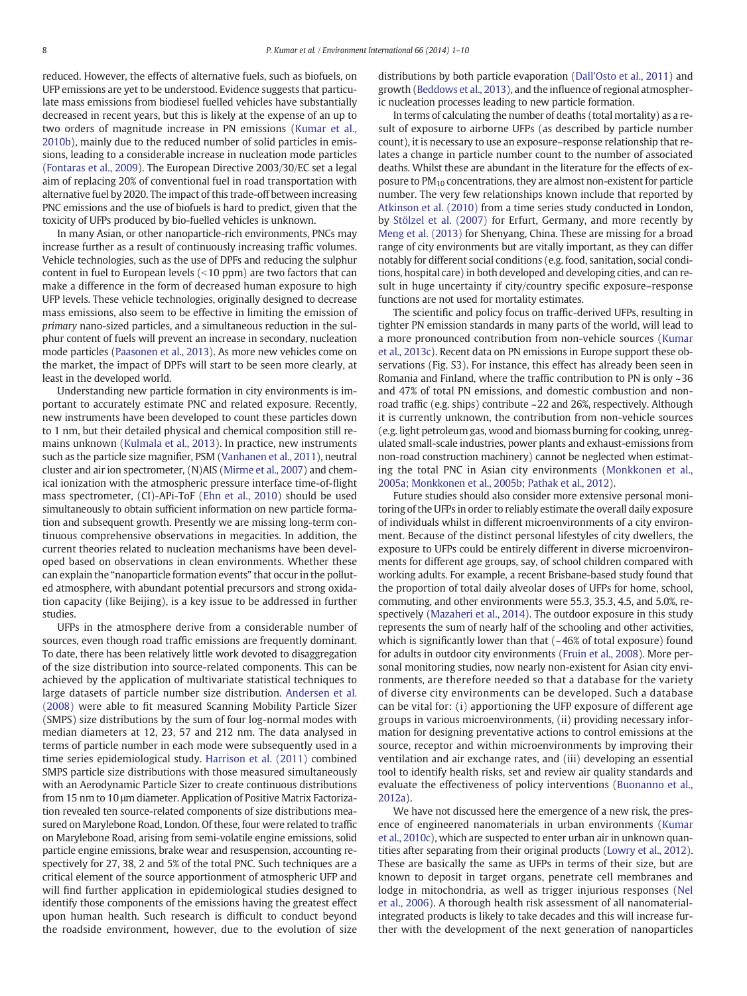reduced. However, the effects of alternative fuels, such as biofuels, on UFP emissions are yet to be understood. Evidence suggests that particulate mass emissions from biodiesel fuelled vehicles have substantially decreased in recent years, but this is likely at the expense of an up to two orders of magnitude increase in PN emissions [\(Kumar et al.,](#page-10-0) [2010b](#page-10-0)), mainly due to the reduced number of solid particles in emissions, leading to a considerable increase in nucleation mode particles [\(Fontaras et al., 2009\)](#page-9-0). The European Directive 2003/30/EC set a legal aim of replacing 20% of conventional fuel in road transportation with alternative fuel by 2020. The impact of this trade-off between increasing PNC emissions and the use of biofuels is hard to predict, given that the toxicity of UFPs produced by bio-fuelled vehicles is unknown.

In many Asian, or other nanoparticle-rich environments, PNCs may increase further as a result of continuously increasing traffic volumes. Vehicle technologies, such as the use of DPFs and reducing the sulphur content in fuel to European levels  $($  < 10 ppm) are two factors that can make a difference in the form of decreased human exposure to high UFP levels. These vehicle technologies, originally designed to decrease mass emissions, also seem to be effective in limiting the emission of primary nano-sized particles, and a simultaneous reduction in the sulphur content of fuels will prevent an increase in secondary, nucleation mode particles [\(Paasonen et al., 2013\)](#page-10-0). As more new vehicles come on the market, the impact of DPFs will start to be seen more clearly, at least in the developed world.

Understanding new particle formation in city environments is important to accurately estimate PNC and related exposure. Recently, new instruments have been developed to count these particles down to 1 nm, but their detailed physical and chemical composition still remains unknown [\(Kulmala et al., 2013\)](#page-9-0). In practice, new instruments such as the particle size magnifier, PSM ([Vanhanen et al., 2011](#page-10-0)), neutral cluster and air ion spectrometer, (N)AIS [\(Mirme et al., 2007\)](#page-10-0) and chemical ionization with the atmospheric pressure interface time-of-flight mass spectrometer, (CI)-APi-ToF [\(Ehn et al., 2010](#page-9-0)) should be used simultaneously to obtain sufficient information on new particle formation and subsequent growth. Presently we are missing long-term continuous comprehensive observations in megacities. In addition, the current theories related to nucleation mechanisms have been developed based on observations in clean environments. Whether these can explain the "nanoparticle formation events" that occur in the polluted atmosphere, with abundant potential precursors and strong oxidation capacity (like Beijing), is a key issue to be addressed in further studies.

UFPs in the atmosphere derive from a considerable number of sources, even though road traffic emissions are frequently dominant. To date, there has been relatively little work devoted to disaggregation of the size distribution into source-related components. This can be achieved by the application of multivariate statistical techniques to large datasets of particle number size distribution. [Andersen et al.](#page-9-0) [\(2008\)](#page-9-0) were able to fit measured Scanning Mobility Particle Sizer (SMPS) size distributions by the sum of four log-normal modes with median diameters at 12, 23, 57 and 212 nm. The data analysed in terms of particle number in each mode were subsequently used in a time series epidemiological study. [Harrison et al. \(2011\)](#page-9-0) combined SMPS particle size distributions with those measured simultaneously with an Aerodynamic Particle Sizer to create continuous distributions from 15 nm to 10 μm diameter. Application of Positive Matrix Factorization revealed ten source-related components of size distributions measured on Marylebone Road, London. Of these, four were related to traffic on Marylebone Road, arising from semi-volatile engine emissions, solid particle engine emissions, brake wear and resuspension, accounting respectively for 27, 38, 2 and 5% of the total PNC. Such techniques are a critical element of the source apportionment of atmospheric UFP and will find further application in epidemiological studies designed to identify those components of the emissions having the greatest effect upon human health. Such research is difficult to conduct beyond the roadside environment, however, due to the evolution of size

distributions by both particle evaporation ([Dall'Osto et al., 2011](#page-9-0)) and growth ([Beddows et al., 2013\)](#page-9-0), and the influence of regional atmospheric nucleation processes leading to new particle formation.

In terms of calculating the number of deaths (total mortality) as a result of exposure to airborne UFPs (as described by particle number count), it is necessary to use an exposure–response relationship that relates a change in particle number count to the number of associated deaths. Whilst these are abundant in the literature for the effects of exposure to  $PM_{10}$  concentrations, they are almost non-existent for particle number. The very few relationships known include that reported by [Atkinson et al. \(2010\)](#page-9-0) from a time series study conducted in London, by [Stölzel et al. \(2007\)](#page-10-0) for Erfurt, Germany, and more recently by [Meng et al. \(2013\)](#page-10-0) for Shenyang, China. These are missing for a broad range of city environments but are vitally important, as they can differ notably for different social conditions (e.g. food, sanitation, social conditions, hospital care) in both developed and developing cities, and can result in huge uncertainty if city/country specific exposure–response functions are not used for mortality estimates.

The scientific and policy focus on traffic-derived UFPs, resulting in tighter PN emission standards in many parts of the world, will lead to a more pronounced contribution from non-vehicle sources [\(Kumar](#page-10-0) [et al., 2013c\)](#page-10-0). Recent data on PN emissions in Europe support these observations (Fig. S3). For instance, this effect has already been seen in Romania and Finland, where the traffic contribution to PN is only ~36 and 47% of total PN emissions, and domestic combustion and nonroad traffic (e.g. ships) contribute ~22 and 26%, respectively. Although it is currently unknown, the contribution from non-vehicle sources (e.g. light petroleum gas, wood and biomass burning for cooking, unregulated small-scale industries, power plants and exhaust-emissions from non-road construction machinery) cannot be neglected when estimating the total PNC in Asian city environments ([Monkkonen et al.,](#page-10-0) [2005a; Monkkonen et al., 2005b; Pathak et al., 2012\)](#page-10-0).

Future studies should also consider more extensive personal monitoring of the UFPs in order to reliably estimate the overall daily exposure of individuals whilst in different microenvironments of a city environment. Because of the distinct personal lifestyles of city dwellers, the exposure to UFPs could be entirely different in diverse microenvironments for different age groups, say, of school children compared with working adults. For example, a recent Brisbane-based study found that the proportion of total daily alveolar doses of UFPs for home, school, commuting, and other environments were 55.3, 35.3, 4.5, and 5.0%, respectively ([Mazaheri et al., 2014\)](#page-10-0). The outdoor exposure in this study represents the sum of nearly half of the schooling and other activities, which is significantly lower than that  $(-46\%)$  of total exposure) found for adults in outdoor city environments [\(Fruin et al., 2008](#page-9-0)). More personal monitoring studies, now nearly non-existent for Asian city environments, are therefore needed so that a database for the variety of diverse city environments can be developed. Such a database can be vital for: (i) apportioning the UFP exposure of different age groups in various microenvironments, (ii) providing necessary information for designing preventative actions to control emissions at the source, receptor and within microenvironments by improving their ventilation and air exchange rates, and (iii) developing an essential tool to identify health risks, set and review air quality standards and evaluate the effectiveness of policy interventions [\(Buonanno et al.,](#page-9-0) [2012a\)](#page-9-0).

We have not discussed here the emergence of a new risk, the presence of engineered nanomaterials in urban environments [\(Kumar](#page-10-0) [et al., 2010c](#page-10-0)), which are suspected to enter urban air in unknown quantities after separating from their original products [\(Lowry et al., 2012\)](#page-10-0). These are basically the same as UFPs in terms of their size, but are known to deposit in target organs, penetrate cell membranes and lodge in mitochondria, as well as trigger injurious responses [\(Nel](#page-10-0) [et al., 2006](#page-10-0)). A thorough health risk assessment of all nanomaterialintegrated products is likely to take decades and this will increase further with the development of the next generation of nanoparticles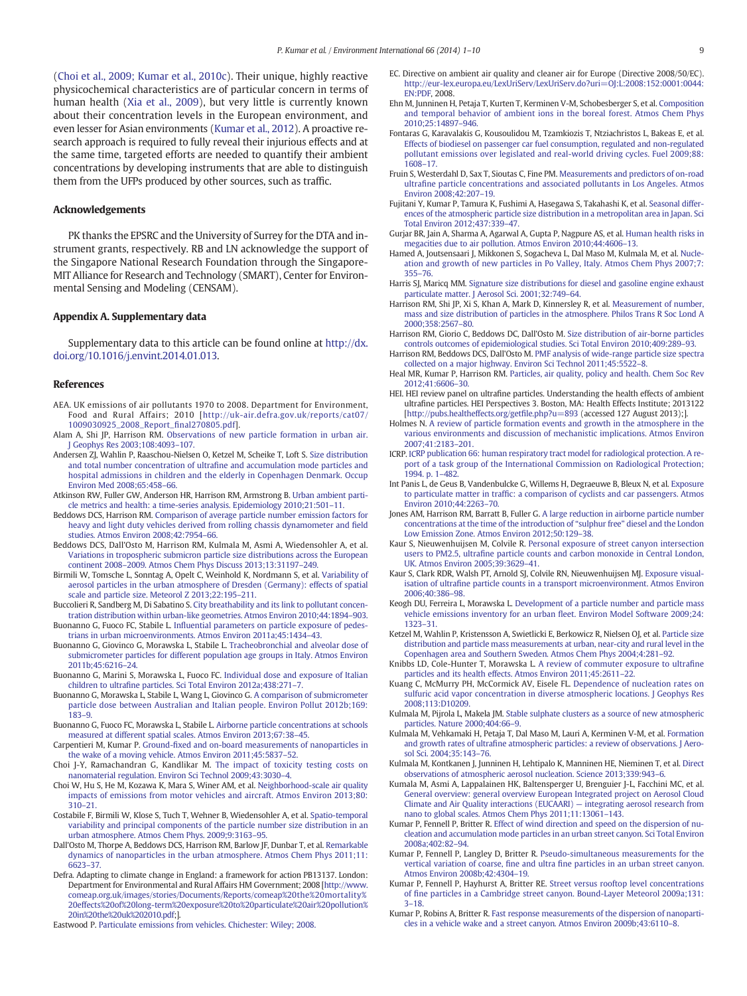<span id="page-9-0"></span>(Choi et al., 2009; Kumar et al., 2010c). Their unique, highly reactive physicochemical characteristics are of particular concern in terms of human health ([Xia et al., 2009\)](#page-10-0), but very little is currently known about their concentration levels in the European environment, and even lesser for Asian environments [\(Kumar et al., 2012\)](#page-10-0). A proactive research approach is required to fully reveal their injurious effects and at the same time, targeted efforts are needed to quantify their ambient concentrations by developing instruments that are able to distinguish them from the UFPs produced by other sources, such as traffic.

#### Acknowledgements

PK thanks the EPSRC and the University of Surrey for the DTA and instrument grants, respectively. RB and LN acknowledge the support of the Singapore National Research Foundation through the Singapore-MIT Alliance for Research and Technology (SMART), Center for Environmental Sensing and Modeling (CENSAM).

#### Appendix A. Supplementary data

Supplementary data to this article can be found online at [http://dx.](http://dx.doi.org/10.1016/j.envint.2014.01.013) [doi.org/10.1016/j.envint.2014.01.013](http://dx.doi.org/10.1016/j.envint.2014.01.013).

#### References

- AEA. UK emissions of air pollutants 1970 to 2008. Department for Environment, Food and Rural Affairs; 2010 [[http://uk-air.defra.gov.uk/reports/cat07/](http://uk-air.defra.gov.uk/reports/cat07/1009030925_2008_Report_final270805.pdf) [1009030925\\_2008\\_Report\\_](http://uk-air.defra.gov.uk/reports/cat07/1009030925_2008_Report_final270805.pdf)final270805.pdf].
- Alam A, Shi JP, Harrison RM. [Observations of new particle formation in urban air.](http://refhub.elsevier.com/S0160-4120(14)00018-X/rf0005) [J Geophys Res 2003;108:4093](http://refhub.elsevier.com/S0160-4120(14)00018-X/rf0005)–107.
- Andersen ZJ, Wahlin P, Raaschou-Nielsen O, Ketzel M, Scheike T, Loft S. [Size distribution](http://refhub.elsevier.com/S0160-4120(14)00018-X/rf0010) and total number concentration of ultrafi[ne and accumulation mode particles and](http://refhub.elsevier.com/S0160-4120(14)00018-X/rf0010) [hospital admissions in children and the elderly in Copenhagen Denmark. Occup](http://refhub.elsevier.com/S0160-4120(14)00018-X/rf0010) [Environ Med 2008;65:458](http://refhub.elsevier.com/S0160-4120(14)00018-X/rf0010)–66.
- Atkinson RW, Fuller GW, Anderson HR, Harrison RM, Armstrong B. [Urban ambient parti](http://refhub.elsevier.com/S0160-4120(14)00018-X/rf0015)[cle metrics and health: a time-series analysis. Epidemiology 2010;21:501](http://refhub.elsevier.com/S0160-4120(14)00018-X/rf0015)–11.
- Beddows DCS, Harrison RM. [Comparison of average particle number emission factors for](http://refhub.elsevier.com/S0160-4120(14)00018-X/rf0020) [heavy and light duty vehicles derived from rolling chassis dynamometer and](http://refhub.elsevier.com/S0160-4120(14)00018-X/rf0020) field [studies. Atmos Environ 2008;42:7954](http://refhub.elsevier.com/S0160-4120(14)00018-X/rf0020)–66.
- Beddows DCS, Dall'Osto M, Harrison RM, Kulmala M, Asmi A, Wiedensohler A, et al. [Variations in tropospheric submicron particle size distributions across the European](http://refhub.elsevier.com/S0160-4120(14)00018-X/rf0430) continent 2008–[2009. Atmos Chem Phys Discuss 2013;13:31197](http://refhub.elsevier.com/S0160-4120(14)00018-X/rf0430)–249.
- Birmili W, Tomsche L, Sonntag A, Opelt C, Weinhold K, Nordmann S, et al. [Variability of](http://refhub.elsevier.com/S0160-4120(14)00018-X/rf0025) [aerosol particles in the urban atmosphere of Dresden \(Germany\): effects of spatial](http://refhub.elsevier.com/S0160-4120(14)00018-X/rf0025) [scale and particle size. Meteorol Z 2013;22:195](http://refhub.elsevier.com/S0160-4120(14)00018-X/rf0025)–211.
- Buccolieri R, Sandberg M, Di Sabatino S. [City breathability and its link to pollutant concen](http://refhub.elsevier.com/S0160-4120(14)00018-X/rf0030)[tration distribution within urban-like geometries. Atmos Environ 2010;44:1894](http://refhub.elsevier.com/S0160-4120(14)00018-X/rf0030)–903.
- Buonanno G, Fuoco FC, Stabile L. Infl[uential parameters on particle exposure of pedes](http://refhub.elsevier.com/S0160-4120(14)00018-X/rf0040)[trians in urban microenvironments. Atmos Environ 2011a;45:1434](http://refhub.elsevier.com/S0160-4120(14)00018-X/rf0040)–43.
- Buonanno G, Giovinco G, Morawska L, Stabile L. [Tracheobronchial and alveolar dose of](http://refhub.elsevier.com/S0160-4120(14)00018-X/rf0045) [submicrometer particles for different population age groups in Italy. Atmos Environ](http://refhub.elsevier.com/S0160-4120(14)00018-X/rf0045) [2011b;45:6216](http://refhub.elsevier.com/S0160-4120(14)00018-X/rf0045)–24.
- Buonanno G, Marini S, Morawska L, Fuoco FC. [Individual dose and exposure of Italian](http://refhub.elsevier.com/S0160-4120(14)00018-X/rf0050) children to ultrafi[ne particles. Sci Total Environ 2012a;438:271](http://refhub.elsevier.com/S0160-4120(14)00018-X/rf0050)–7.
- Buonanno G, Morawska L, Stabile L, Wang L, Giovinco G. [A comparison of submicrometer](http://refhub.elsevier.com/S0160-4120(14)00018-X/rf0055) [particle dose between Australian and Italian people. Environ Pollut 2012b;169:](http://refhub.elsevier.com/S0160-4120(14)00018-X/rf0055) [183](http://refhub.elsevier.com/S0160-4120(14)00018-X/rf0055)–9.
- Buonanno G, Fuoco FC, Morawska L, Stabile L. [Airborne particle concentrations at schools](http://refhub.elsevier.com/S0160-4120(14)00018-X/rf0035) [measured at different spatial scales. Atmos Environ 2013;67:38](http://refhub.elsevier.com/S0160-4120(14)00018-X/rf0035)–45.
- Carpentieri M, Kumar P. Ground-fi[xed and on-board measurements of nanoparticles in](http://refhub.elsevier.com/S0160-4120(14)00018-X/rf0060) [the wake of a moving vehicle. Atmos Environ 2011;45:5837](http://refhub.elsevier.com/S0160-4120(14)00018-X/rf0060)–52.
- Choi J-Y, Ramachandran G, Kandlikar M. [The impact of toxicity testing costs on](http://refhub.elsevier.com/S0160-4120(14)00018-X/rf0065) [nanomaterial regulation. Environ Sci Technol 2009;43:3030](http://refhub.elsevier.com/S0160-4120(14)00018-X/rf0065)–4.
- Choi W, Hu S, He M, Kozawa K, Mara S, Winer AM, et al. [Neighborhood-scale air quality](http://refhub.elsevier.com/S0160-4120(14)00018-X/rf0070) [impacts of emissions from motor vehicles and aircraft. Atmos Environ 2013;80:](http://refhub.elsevier.com/S0160-4120(14)00018-X/rf0070) [310](http://refhub.elsevier.com/S0160-4120(14)00018-X/rf0070)–21.
- Costabile F, Birmili W, Klose S, Tuch T, Wehner B, Wiedensohler A, et al. [Spatio-temporal](http://refhub.elsevier.com/S0160-4120(14)00018-X/rf0075) [variability and principal components of the particle number size distribution in an](http://refhub.elsevier.com/S0160-4120(14)00018-X/rf0075) [urban atmosphere. Atmos Chem Phys. 2009;9:3163](http://refhub.elsevier.com/S0160-4120(14)00018-X/rf0075)–95.
- Dall'Osto M, Thorpe A, Beddows DCS, Harrison RM, Barlow JF, Dunbar T, et al. [Remarkable](http://refhub.elsevier.com/S0160-4120(14)00018-X/rf0080) [dynamics of nanoparticles in the urban atmosphere. Atmos Chem Phys 2011;11:](http://refhub.elsevier.com/S0160-4120(14)00018-X/rf0080) [6623](http://refhub.elsevier.com/S0160-4120(14)00018-X/rf0080)–37.
- Defra. Adapting to climate change in England: a framework for action PB13137. London: Department for Environmental and Rural Affairs HM Government; 2008 [[http://www.](http://www.comeap.org.uk/images/stories/Documents/Reports/comeap%20the%20mortality%20effects%20of%20long-term%20exposure%20to%20particulate%20air%20pollution%20in%20the%20uk%202010.pdf) [comeap.org.uk/images/stories/Documents/Reports/comeap%20the%20mortality%](http://www.comeap.org.uk/images/stories/Documents/Reports/comeap%20the%20mortality%20effects%20of%20long-term%20exposure%20to%20particulate%20air%20pollution%20in%20the%20uk%202010.pdf) [20effects%20of%20long-term%20exposure%20to%20particulate%20air%20pollution%](http://www.comeap.org.uk/images/stories/Documents/Reports/comeap%20the%20mortality%20effects%20of%20long-term%20exposure%20to%20particulate%20air%20pollution%20in%20the%20uk%202010.pdf) [20in%20the%20uk%202010.pdf;](http://www.comeap.org.uk/images/stories/Documents/Reports/comeap%20the%20mortality%20effects%20of%20long-term%20exposure%20to%20particulate%20air%20pollution%20in%20the%20uk%202010.pdf)].
- Eastwood P. [Particulate emissions from vehicles. Chichester: Wiley; 2008.](http://refhub.elsevier.com/S0160-4120(14)00018-X/rf0085)
- EC. Directive on ambient air quality and cleaner air for Europe (Directive 2008/50/EC). [http://eur-lex.europa.eu/LexUriServ/LexUriServ.do?uri=OJ:L:2008:152:0001:0044:](http://eur-lex.europa.eu/LexUriServ/LexUriServ.do?uri=OJ:L:2008:152:0001:0044:EN:PDF) [EN:PDF,](http://eur-lex.europa.eu/LexUriServ/LexUriServ.do?uri=OJ:L:2008:152:0001:0044:EN:PDF) 2008.
- Ehn M, Junninen H, Petaja T, Kurten T, Kerminen V-M, Schobesberger S, et al. [Composition](http://refhub.elsevier.com/S0160-4120(14)00018-X/rf0090) [and temporal behavior of ambient ions in the boreal forest. Atmos Chem Phys](http://refhub.elsevier.com/S0160-4120(14)00018-X/rf0090) [2010;25:14897](http://refhub.elsevier.com/S0160-4120(14)00018-X/rf0090)–946.
- Fontaras G, Karavalakis G, Kousoulidou M, Tzamkiozis T, Ntziachristos L, Bakeas E, et al. [Effects of biodiesel on passenger car fuel consumption, regulated and non-regulated](http://refhub.elsevier.com/S0160-4120(14)00018-X/rf0445) [pollutant emissions over legislated and real-world driving cycles. Fuel 2009;88:](http://refhub.elsevier.com/S0160-4120(14)00018-X/rf0445) [1608](http://refhub.elsevier.com/S0160-4120(14)00018-X/rf0445)–17.
- Fruin S, Westerdahl D, Sax T, Sioutas C, Fine PM. [Measurements and predictors of on-road](http://refhub.elsevier.com/S0160-4120(14)00018-X/rf0095) ultrafi[ne particle concentrations and associated pollutants in Los Angeles. Atmos](http://refhub.elsevier.com/S0160-4120(14)00018-X/rf0095) [Environ 2008;42:207](http://refhub.elsevier.com/S0160-4120(14)00018-X/rf0095)–19.
- Fujitani Y, Kumar P, Tamura K, Fushimi A, Hasegawa S, Takahashi K, et al. [Seasonal differ](http://refhub.elsevier.com/S0160-4120(14)00018-X/rf0100)[ences of the atmospheric particle size distribution in a metropolitan area in Japan. Sci](http://refhub.elsevier.com/S0160-4120(14)00018-X/rf0100) [Total Environ 2012;437:339](http://refhub.elsevier.com/S0160-4120(14)00018-X/rf0100)–47.
- Gurjar BR, Jain A, Sharma A, Agarwal A, Gupta P, Nagpure AS, et al. [Human health risks in](http://refhub.elsevier.com/S0160-4120(14)00018-X/rf0105) [megacities due to air pollution. Atmos Environ 2010;44:4606](http://refhub.elsevier.com/S0160-4120(14)00018-X/rf0105)–13.
- Hamed A, Joutsensaari J, Mikkonen S, Sogacheva L, Dal Maso M, Kulmala M, et al. [Nucle](http://refhub.elsevier.com/S0160-4120(14)00018-X/rf0110)[ation and growth of new particles in Po Valley, Italy. Atmos Chem Phys 2007;7:](http://refhub.elsevier.com/S0160-4120(14)00018-X/rf0110) [355](http://refhub.elsevier.com/S0160-4120(14)00018-X/rf0110)–76.
- Harris SJ, Maricq MM. [Signature size distributions for diesel and gasoline engine exhaust](http://refhub.elsevier.com/S0160-4120(14)00018-X/rf0115) [particulate matter. J Aerosol Sci. 2001;32:749](http://refhub.elsevier.com/S0160-4120(14)00018-X/rf0115)–64.
- Harrison RM, Shi JP, Xi S, Khan A, Mark D, Kinnersley R, et al. [Measurement of number,](http://refhub.elsevier.com/S0160-4120(14)00018-X/rf0450) [mass and size distribution of particles in the atmosphere. Philos Trans R Soc Lond A](http://refhub.elsevier.com/S0160-4120(14)00018-X/rf0450) [2000;358:2567](http://refhub.elsevier.com/S0160-4120(14)00018-X/rf0450)–80.
- Harrison RM, Giorio C, Beddows DC, Dall'Osto M. [Size distribution of air-borne particles](http://refhub.elsevier.com/S0160-4120(14)00018-X/rf0455) [controls outcomes of epidemiological studies. Sci Total Environ 2010;409:289](http://refhub.elsevier.com/S0160-4120(14)00018-X/rf0455)–93.
- Harrison RM, Beddows DCS, Dall'Osto M. [PMF analysis of wide-range particle size spectra](http://refhub.elsevier.com/S0160-4120(14)00018-X/rf0120) [collected on a major highway. Environ Sci Technol 2011;45:5522](http://refhub.elsevier.com/S0160-4120(14)00018-X/rf0120)–8.
- Heal MR, Kumar P, Harrison RM. [Particles, air quality, policy and health. Chem Soc Rev](http://refhub.elsevier.com/S0160-4120(14)00018-X/rf0125) [2012;41:6606](http://refhub.elsevier.com/S0160-4120(14)00018-X/rf0125)–30.
- HEI. HEI review panel on ultrafine particles. Understanding the health effects of ambient ultrafine particles. HEI Perspectives 3. Boston, MA: Health Effects Institute; 2013122 [[http://pubs.healtheffects.org/get](http://pubs.healtheffects.org/getfile.php?u=893)file.php?u=893 (accessed 127 August 2013);].
- Holmes N. [A review of particle formation events and growth in the atmosphere in the](http://refhub.elsevier.com/S0160-4120(14)00018-X/rf0130) [various environments and discussion of mechanistic implications. Atmos Environ](http://refhub.elsevier.com/S0160-4120(14)00018-X/rf0130) [2007;41:2183](http://refhub.elsevier.com/S0160-4120(14)00018-X/rf0130)–201.
- ICRP. [ICRP publication 66: human respiratory tract model for radiological protection. A re](http://refhub.elsevier.com/S0160-4120(14)00018-X/rf0465)[port of a task group of the International Commission on Radiological Protection;](http://refhub.elsevier.com/S0160-4120(14)00018-X/rf0465) [1994. p. 1](http://refhub.elsevier.com/S0160-4120(14)00018-X/rf0465)–482.
- Int Panis L, de Geus B, Vandenbulcke G, Willems H, Degraeuwe B, Bleux N, et al. [Exposure](http://refhub.elsevier.com/S0160-4120(14)00018-X/rf0135) to particulate matter in traffi[c: a comparison of cyclists and car passengers. Atmos](http://refhub.elsevier.com/S0160-4120(14)00018-X/rf0135) [Environ 2010;44:2263](http://refhub.elsevier.com/S0160-4120(14)00018-X/rf0135)–70.
- Jones AM, Harrison RM, Barratt B, Fuller G. [A large reduction in airborne particle number](http://refhub.elsevier.com/S0160-4120(14)00018-X/rf0140) [concentrations at the time of the introduction of](http://refhub.elsevier.com/S0160-4120(14)00018-X/rf0140) "sulphur free" diesel and the London [Low Emission Zone. Atmos Environ 2012;50:129](http://refhub.elsevier.com/S0160-4120(14)00018-X/rf0140)–38.
- Kaur S, Nieuwenhuijsen M, Colvile R. [Personal exposure of street canyon intersection](http://refhub.elsevier.com/S0160-4120(14)00018-X/rf0150) users to PM2.5, ultrafi[ne particle counts and carbon monoxide in Central London,](http://refhub.elsevier.com/S0160-4120(14)00018-X/rf0150) [UK. Atmos Environ 2005;39:3629](http://refhub.elsevier.com/S0160-4120(14)00018-X/rf0150)–41.
- Kaur S, Clark RDR, Walsh PT, Arnold SJ, Colvile RN, Nieuwenhuijsen MJ. [Exposure visual](http://refhub.elsevier.com/S0160-4120(14)00018-X/rf0145)isation of ultrafi[ne particle counts in a transport microenvironment. Atmos Environ](http://refhub.elsevier.com/S0160-4120(14)00018-X/rf0145) [2006;40:386](http://refhub.elsevier.com/S0160-4120(14)00018-X/rf0145)–98.
- Keogh DU, Ferreira L, Morawska L. [Development of a particle number and particle mass](http://refhub.elsevier.com/S0160-4120(14)00018-X/rf0155) [vehicle emissions inventory for an urban](http://refhub.elsevier.com/S0160-4120(14)00018-X/rf0155) fleet. Environ Model Software 2009;24: [1323](http://refhub.elsevier.com/S0160-4120(14)00018-X/rf0155)–31.

Ketzel M, Wahlin P, Kristensson A, Swietlicki E, Berkowicz R, Nielsen OJ, et al. [Particle size](http://refhub.elsevier.com/S0160-4120(14)00018-X/rf0160) [distribution and particle mass measurements at urban, near-city and rural level in the](http://refhub.elsevier.com/S0160-4120(14)00018-X/rf0160) [Copenhagen area and Southern Sweden. Atmos Chem Phys 2004;4:281](http://refhub.elsevier.com/S0160-4120(14)00018-X/rf0160)–92.

Knibbs LD, Cole-Hunter T, Morawska L. [A review of commuter exposure to ultra](http://refhub.elsevier.com/S0160-4120(14)00018-X/rf0165)fine [particles and its health effects. Atmos Environ 2011;45:2611](http://refhub.elsevier.com/S0160-4120(14)00018-X/rf0165)–22.

- Kuang C, McMurry PH, McCormick AV, Eisele FL. [Dependence of nucleation rates on](http://refhub.elsevier.com/S0160-4120(14)00018-X/rf0170) [sulfuric acid vapor concentration in diverse atmospheric locations. J Geophys Res](http://refhub.elsevier.com/S0160-4120(14)00018-X/rf0170) [2008;113:D10209.](http://refhub.elsevier.com/S0160-4120(14)00018-X/rf0170)
- Kulmala M, Pijrola L, Makela JM. [Stable sulphate clusters as a source of new atmospheric](http://refhub.elsevier.com/S0160-4120(14)00018-X/rf0180) [particles. Nature 2000;404:66](http://refhub.elsevier.com/S0160-4120(14)00018-X/rf0180)–9.
- Kulmala M, Vehkamaki H, Petaja T, Dal Maso M, Lauri A, Kerminen V-M, et al. [Formation](http://refhub.elsevier.com/S0160-4120(14)00018-X/rf0185) and growth rates of ultrafi[ne atmospheric particles: a review of observations. J Aero](http://refhub.elsevier.com/S0160-4120(14)00018-X/rf0185)[sol Sci. 2004;35:143](http://refhub.elsevier.com/S0160-4120(14)00018-X/rf0185)–76.
- Kulmala M, Kontkanen J, Junninen H, Lehtipalo K, Manninen HE, Nieminen T, et al. [Direct](http://refhub.elsevier.com/S0160-4120(14)00018-X/rf0175) [observations of atmospheric aerosol nucleation. Science 2013;339:943](http://refhub.elsevier.com/S0160-4120(14)00018-X/rf0175)–6.
- Kumala M, Asmi A, Lappalainen HK, Baltensperger U, Brenguier J-L, Facchini MC, et al. [General overview: general overview European Integrated project on Aerosol Cloud](http://refhub.elsevier.com/S0160-4120(14)00018-X/rf0470) [Climate and Air Quality interactions \(EUCAARI\)](http://refhub.elsevier.com/S0160-4120(14)00018-X/rf0470) — integrating aerosol research from [nano to global scales. Atmos Chem Phys 2011;11:13061](http://refhub.elsevier.com/S0160-4120(14)00018-X/rf0470)–143.
- Kumar P, Fennell P, Britter R. [Effect of wind direction and speed on the dispersion of nu](http://refhub.elsevier.com/S0160-4120(14)00018-X/rf0190)[cleation and accumulation mode particles in an urban street canyon. Sci Total Environ](http://refhub.elsevier.com/S0160-4120(14)00018-X/rf0190) [2008a;402:82](http://refhub.elsevier.com/S0160-4120(14)00018-X/rf0190)–94.
- Kumar P, Fennell P, Langley D, Britter R. [Pseudo-simultaneous measurements for the](http://refhub.elsevier.com/S0160-4120(14)00018-X/rf0195) vertical variation of coarse, fine and ultra fine [particles in an urban street canyon.](http://refhub.elsevier.com/S0160-4120(14)00018-X/rf0195) [Atmos Environ 2008b;42:4304](http://refhub.elsevier.com/S0160-4120(14)00018-X/rf0195)–19.
- Kumar P, Fennell P, Hayhurst A, Britter RE. [Street versus rooftop level concentrations](http://refhub.elsevier.com/S0160-4120(14)00018-X/rf0200) of fi[ne particles in a Cambridge street canyon. Bound-Layer Meteorol 2009a;131:](http://refhub.elsevier.com/S0160-4120(14)00018-X/rf0200) 3–[18.](http://refhub.elsevier.com/S0160-4120(14)00018-X/rf0200)
- Kumar P, Robins A, Britter R. [Fast response measurements of the dispersion of nanoparti](http://refhub.elsevier.com/S0160-4120(14)00018-X/rf0205)[cles in a vehicle wake and a street canyon. Atmos Environ 2009b;43:6110](http://refhub.elsevier.com/S0160-4120(14)00018-X/rf0205)–8.